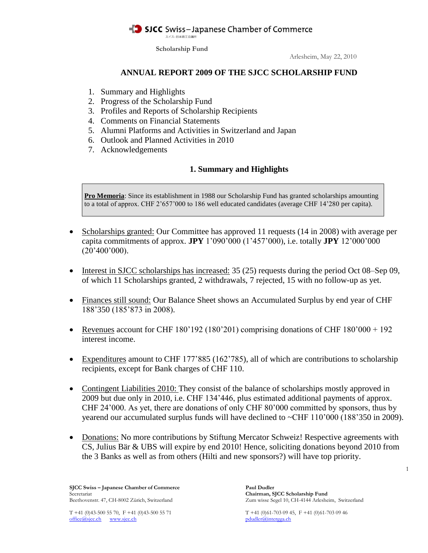スイスー日本商工会議所

**Scholarship Fund**

Arlesheim, May 22, 2010

### **ANNUAL REPORT 2009 OF THE SJCC SCHOLARSHIP FUND**

- 1. Summary and Highlights
- 2. Progress of the Scholarship Fund
- 3. Profiles and Reports of Scholarship Recipients
- 4. Comments on Financial Statements
- 5. Alumni Platforms and Activities in Switzerland and Japan
- 6. Outlook and Planned Activities in 2010
- 7. Acknowledgements

# **1. Summary and Highlights**

**Pro Memoria**: Since its establishment in 1988 our Scholarship Fund has granted scholarships amounting to a total of approx. CHF 2'657'000 to 186 well educated candidates (average CHF 14'280 per capita).

- Scholarships granted: Our Committee has approved 11 requests (14 in 2008) with average per capita commitments of approx. **JPY** 1'090'000 (1'457'000), i.e. totally **JPY** 12'000'000  $(20'400'000)$ .
- Interest in SJCC scholarships has increased:  $35(25)$  requests during the period Oct 08–Sep 09, of which 11 Scholarships granted, 2 withdrawals, 7 rejected, 15 with no follow-up as yet.
- Finances still sound: Our Balance Sheet shows an Accumulated Surplus by end year of CHF 188'350 (185'873 in 2008).
- Revenues account for CHF 180'192 (180'201) comprising donations of CHF 180'000 + 192 interest income.
- Expenditures amount to CHF 177'885 (162'785), all of which are contributions to scholarship recipients, except for Bank charges of CHF 110.
- Contingent Liabilities 2010: They consist of the balance of scholarships mostly approved in 2009 but due only in 2010, i.e. CHF 134'446, plus estimated additional payments of approx. CHF 24'000. As yet, there are donations of only CHF 80'000 committed by sponsors, thus by yearend our accumulated surplus funds will have declined to ~CHF 110'000 (188'350 in 2009).
- Donations: No more contributions by Stiftung Mercator Schweiz! Respective agreements with CS, Julius Bär & UBS will expire by end 2010! Hence, soliciting donations beyond 2010 from the 3 Banks as well as from others (Hilti and new sponsors?) will have top priority.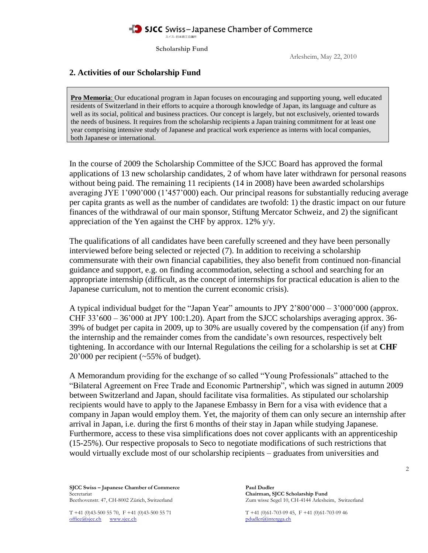**Scholarship Fund**

Arlesheim, May 22, 2010

## **2. Activities of our Scholarship Fund**

**Pro Memoria**: Our educational program in Japan focuses on encouraging and supporting young, well educated residents of Switzerland in their efforts to acquire a thorough knowledge of Japan, its language and culture as well as its social, political and business practices. Our concept is largely, but not exclusively, oriented towards the needs of business. It requires from the scholarship recipients a Japan training commitment for at least one year comprising intensive study of Japanese and practical work experience as interns with local companies, both Japanese or international.

In the course of 2009 the Scholarship Committee of the SJCC Board has approved the formal applications of 13 new scholarship candidates, 2 of whom have later withdrawn for personal reasons without being paid. The remaining 11 recipients (14 in 2008) have been awarded scholarships averaging JYE 1'090'000 (1'457'000) each. Our principal reasons for substantially reducing average per capita grants as well as the number of candidates are twofold: 1) the drastic impact on our future finances of the withdrawal of our main sponsor, Stiftung Mercator Schweiz, and 2) the significant appreciation of the Yen against the CHF by approx. 12% y/y.

The qualifications of all candidates have been carefully screened and they have been personally interviewed before being selected or rejected (7). In addition to receiving a scholarship commensurate with their own financial capabilities, they also benefit from continued non-financial guidance and support, e.g. on finding accommodation, selecting a school and searching for an appropriate internship (difficult, as the concept of internships for practical education is alien to the Japanese curriculum, not to mention the current economic crisis).

A typical individual budget for the "Japan Year" amounts to JPY 2'800'000 – 3'000'000 (approx. CHF  $33'600 - 36'000$  at JPY 100:1.20). Apart from the SJCC scholarships averaging approx. 36-39% of budget per capita in 2009, up to 30% are usually covered by the compensation (if any) from the internship and the remainder comes from the candidate's own resources, respectively belt tightening. In accordance with our Internal Regulations the ceiling for a scholarship is set at **CHF** 20'000 per recipient (~55% of budget).

A Memorandum providing for the exchange of so called "Young Professionals" attached to the "Bilateral Agreement on Free Trade and Economic Partnership", which was signed in autumn 2009 between Switzerland and Japan, should facilitate visa formalities. As stipulated our scholarship recipients would have to apply to the Japanese Embassy in Bern for a visa with evidence that a company in Japan would employ them. Yet, the majority of them can only secure an internship after arrival in Japan, i.e. during the first 6 months of their stay in Japan while studying Japanese. Furthermore, access to these visa simplifications does not cover applicants with an apprenticeship (15-25%). Our respective proposals to Seco to negotiate modifications of such restrictions that would virtually exclude most of our scholarship recipients – graduates from universities and

**SJCC Swiss – Japanese Chamber of Commerce Paul Dudler<br>Secretariat Chairman. S** Secretariat **Chairman, SJCC Scholarship Fund**<br>Beethovenstr. 47, CH-8002 Zürich, Switzerland **Cameran, SJCC Scholarship Fund** Zum wisse Segel 10, CH-4144 Arleshe

office@sjcc.ch www.sjcc.ch pdudler@intergga.ch

Zum wisse Segel 10, CH-4144 Arlesheim, Switzerland

T +41 (0)43-500 55 70, F +41 (0)43-500 55 71 T +41 (0)61-703 09 45, F +41 (0)61-703 09 46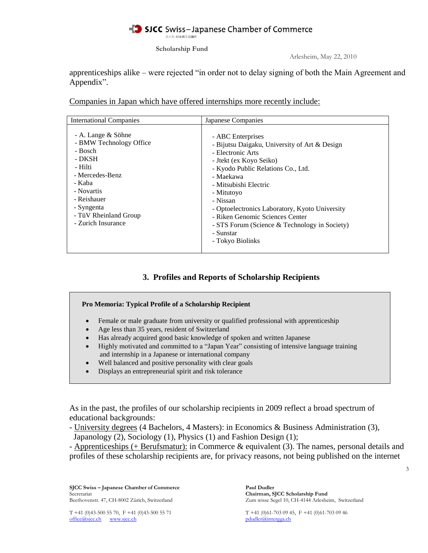スイスー日本商工会議所

**Scholarship Fund**

Arlesheim, May 22, 2010

apprenticeships alike – were rejected "in order not to delay signing of both the Main Agreement and Appendix".

Companies in Japan which have offered internships more recently include:

| <b>International Companies</b>                                                                                                                                                                       | Japanese Companies                                                                                                                                                                                                                                                                                                                                                                              |
|------------------------------------------------------------------------------------------------------------------------------------------------------------------------------------------------------|-------------------------------------------------------------------------------------------------------------------------------------------------------------------------------------------------------------------------------------------------------------------------------------------------------------------------------------------------------------------------------------------------|
| - A. Lange & Söhne<br>- BMW Technology Office<br>- Bosch<br>- DKSH<br>- Hilti<br>- Mercedes-Benz<br>- Kaba<br>- Novartis<br>- Reishauer<br>- Syngenta<br>- TüV Rheinland Group<br>- Zurich Insurance | - ABC Enterprises<br>- Bijutsu Daigaku, University of Art & Design<br>- Electronic Arts<br>- Jtekt (ex Koyo Seiko)<br>- Kyodo Public Relations Co., Ltd.<br>- Maekawa<br>- Mitsubishi Electric<br>- Mitutovo<br>- Nissan<br>- Optoelectronics Laboratory, Kyoto University<br>- Riken Genomic Sciences Center<br>- STS Forum (Science & Technology in Society)<br>- Sunstar<br>- Tokyo Biolinks |

# **3. Profiles and Reports of Scholarship Recipients**

- Female or male graduate from university or qualified professional with apprenticeship
- Age less than 35 years, resident of Switzerland
- Has already acquired good basic knowledge of spoken and written Japanese
- Highly motivated and committed to a "Japan Year" consisting of intensive language training and internship in a Japanese or international company
- Well balanced and positive personality with clear goals
- Displays an entrepreneurial spirit and risk tolerance

As in the past, the profiles of our scholarship recipients in 2009 reflect a broad spectrum of educational backgrounds:

- University degrees (4 Bachelors, 4 Masters): in Economics & Business Administration (3), Japanology (2), Sociology (1), Physics (1) and Fashion Design (1);

- Apprenticeships (+ Berufsmatur): in Commerce & equivalent (3). The names, personal details and profiles of these scholarship recipients are, for privacy reasons, not being published on the internet

**SJCC Swiss – Japanese Chamber of Commerce Paul Dudler**<br>Secretariat Chairman, S Secretariat **Chairman, SJCC Scholarship Fund**<br>Beethovenstr. 47, CH-8002 Zürich, Switzerland **Chairman, SJCC Scholarship Fund**<br>Zum wisse Segel 10, CH-4144 Arleshe

Zum wisse Segel 10, CH-4144 Arlesheim, Switzerland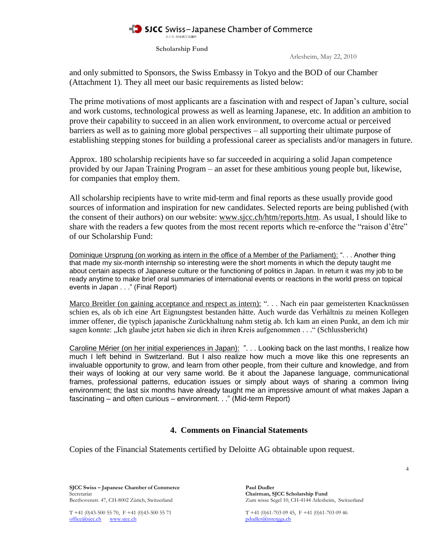スイスー日本商工会議所

**Scholarship Fund**

Arlesheim, May 22, 2010

and only submitted to Sponsors, the Swiss Embassy in Tokyo and the BOD of our Chamber (Attachment 1). They all meet our basic requirements as listed below:

The prime motivations of most applicants are a fascination with and respect of Japan's culture, social and work customs, technological prowess as well as learning Japanese, etc. In addition an ambition to prove their capability to succeed in an alien work environment, to overcome actual or perceived barriers as well as to gaining more global perspectives – all supporting their ultimate purpose of establishing stepping stones for building a professional career as specialists and/or managers in future.

Approx. 180 scholarship recipients have so far succeeded in acquiring a solid Japan competence provided by our Japan Training Program – an asset for these ambitious young people but, likewise, for companies that employ them.

All scholarship recipients have to write mid-term and final reports as these usually provide good sources of information and inspiration for new candidates. Selected reports are being published (with the consent of their authors) on our website: [www.sjcc.ch/htm/reports.htm.](http://www.sjcc.ch/htm/reports.htm) As usual, I should like to share with the readers a few quotes from the most recent reports which re-enforce the "raison d'être" of our Scholarship Fund:

Dominique Ursprung (on working as intern in the office of a Member of the Parliament): ". . . Another thing that made my six-month internship so interesting were the short moments in which the deputy taught me about certain aspects of Japanese culture or the functioning of politics in Japan. In return it was my job to be ready anytime to make brief oral summaries of international events or reactions in the world press on topical events in Japan . . ." (Final Report)

Marco Breitler (on gaining acceptance and respect as intern): ". . . Nach ein paar gemeisterten Knacknüssen schien es, als ob ich eine Art Eignungstest bestanden hätte. Auch wurde das Verhältnis zu meinen Kollegen immer offener, die typisch japanische Zurückhaltung nahm stetig ab. Ich kam an einen Punkt, an dem ich mir sagen konnte: "Ich glaube jetzt haben sie dich in ihren Kreis aufgenommen . . ." (Schlussbericht)

Caroline Mérier (on her initial experiences in Japan): ". . . Looking back on the last months, I realize how much I left behind in Switzerland. But I also realize how much a move like this one represents an invaluable opportunity to grow, and learn from other people, from their culture and knowledge, and from their ways of looking at our very same world. Be it about the Japanese language, communicational frames, professional patterns, education issues or simply about ways of sharing a common living environment; the last six months have already taught me an impressive amount of what makes Japan a fascinating – and often curious – environment. . ." (Mid-term Report)

### **4. Comments on Financial Statements**

Copies of the Financial Statements certified by Deloitte AG obtainable upon request.

**SJCC Swiss – Japanese Chamber of Commerce Paul Dudler<br>Secretariat Chairman. S** Secretariat **Chairman, SJCC Scholarship Fund**<br>Beethovenstr. 47, CH-8002 Zürich, Switzerland **Cameran, SJCC Scholarship Fund** Zum wisse Segel 10, CH-4144 Arleshe

office@sjcc.ch www.sjcc.ch pdudler@intergga.ch

Zum wisse Segel 10, CH-4144 Arlesheim, Switzerland

T +41 (0)43-500 55 70, F +41 (0)43-500 55 71 T +41 (0)61-703 09 45, F +41 (0)61-703 09 46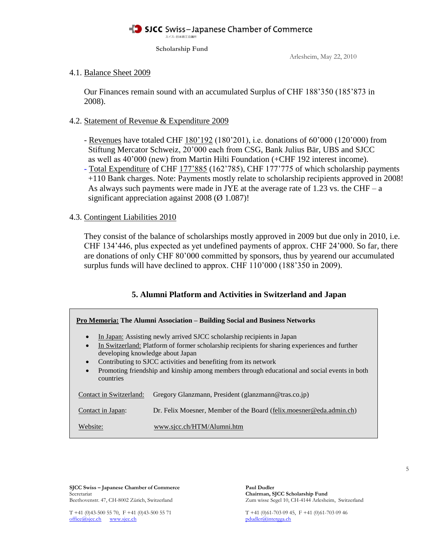スイスー日本商工会議所

**Scholarship Fund**

Arlesheim, May 22, 2010

#### 4.1. Balance Sheet 2009

 Our Finances remain sound with an accumulated Surplus of CHF 188'350 (185'873 in 2008).

### 4.2. Statement of Revenue & Expenditure 2009

- Revenues have totaled CHF 180'192 (180'201), i.e. donations of 60'000 (120'000) from Stiftung Mercator Schweiz, 20'000 each from CSG, Bank Julius Bär, UBS and SJCC as well as 40'000 (new) from Martin Hilti Foundation (+CHF 192 interest income).
- Total Expenditure of CHF 177'885 (162'785), CHF 177'775 of which scholarship payments +110 Bank charges. Note: Payments mostly relate to scholarship recipients approved in 2008! As always such payments were made in JYE at the average rate of 1.23 vs. the CHF – a significant appreciation against 2008 ( $\varnothing$  1.087)!

### 4.3. Contingent Liabilities 2010

 They consist of the balance of scholarships mostly approved in 2009 but due only in 2010, i.e. CHF 134'446, plus expected as yet undefined payments of approx. CHF 24'000. So far, there are donations of only CHF 80'000 committed by sponsors, thus by yearend our accumulated surplus funds will have declined to approx. CHF 110'000 (188'350 in 2009).

### **5. Alumni Platform and Activities in Switzerland and Japan**

| Pro Memoria: The Alumni Association – Building Social and Business Networks                                                                                                                                                                                                                                                                                                                                                                     |                                                                      |  |
|-------------------------------------------------------------------------------------------------------------------------------------------------------------------------------------------------------------------------------------------------------------------------------------------------------------------------------------------------------------------------------------------------------------------------------------------------|----------------------------------------------------------------------|--|
| In Japan: Assisting newly arrived SJCC scholarship recipients in Japan<br>$\bullet$<br>In Switzerland: Platform of former scholarship recipients for sharing experiences and further<br>$\bullet$<br>developing knowledge about Japan<br>Contributing to SJCC activities and benefiting from its network<br>$\bullet$<br>Promoting friendship and kinship among members through educational and social events in both<br>$\bullet$<br>countries |                                                                      |  |
| Contact in Switzerland:                                                                                                                                                                                                                                                                                                                                                                                                                         | Gregory Glanzmann, President (glanzmann@tras.co.jp)                  |  |
| Contact in Japan:                                                                                                                                                                                                                                                                                                                                                                                                                               | Dr. Felix Moesner, Member of the Board (felix moesner @eda.admin.ch) |  |
| Website:                                                                                                                                                                                                                                                                                                                                                                                                                                        | www.sicc.ch/HTM/Alumni.htm                                           |  |

**SJCC Swiss – Japanese Chamber of Commerce Paul Dudler**<br>Secretariat Chairman, S

Chairman, SJCC Scholarship Fund Beethovenstr. 47, CH-8002 Zürich, Switzerland Zum wisse Segel 10, CH-4144 Arlesheim, Switzerland

T +41 (0)43-500 55 70, F +41 (0)43-500 55 71 T +41 (0)61-703 09 45, F +41 (0)61-703 09 46 office@sjcc.ch www.sjcc.ch pdudler@intergga.ch pdudler@intergga.ch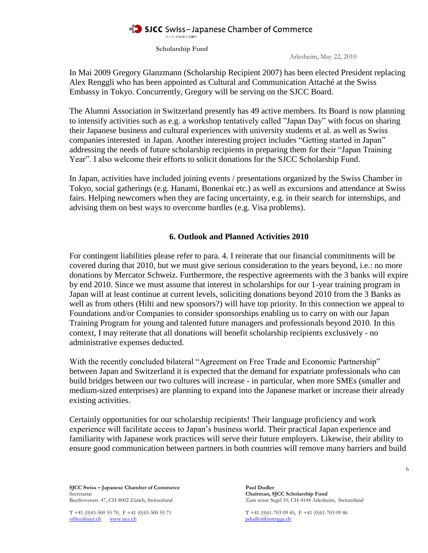#### SICC Swiss-Japanese Chamber of Commerce スイスー日本商工会議所

**Scholarship Fund**

Arlesheim, May 22, 2010

In Mai 2009 Gregory Glanzmann (Scholarship Recipient 2007) has been elected President replacing Alex Renggli who has been appointed as Cultural and Communication Attaché at the Swiss Embassy in Tokyo. Concurrently, Gregory will be serving on the SJCC Board.

The Alumni Association in Switzerland presently has 49 active members. Its Board is now planning to intensify activities such as e.g. a workshop tentatively called "Japan Day" with focus on sharing their Japanese business and cultural experiences with university students et al. as well as Swiss companies interested in Japan. Another interesting project includes "Getting started in Japan" addressing the needs of future scholarship recipients in preparing them for their "Japan Training Year". I also welcome their efforts to solicit donations for the SJCC Scholarship Fund.

In Japan, activities have included joining events / presentations organized by the Swiss Chamber in Tokyo, social gatherings (e.g. Hanami, Bonenkai etc.) as well as excursions and attendance at Swiss fairs. Helping newcomers when they are facing uncertainty, e.g. in their search for internships, and advising them on best ways to overcome hurdles (e.g. Visa problems).

### **6. Outlook and Planned Activities 2010**

For contingent liabilities please refer to para. 4. I reiterate that our financial commitments will be covered during that 2010, but we must give serious consideration to the years beyond, i.e.: no more donations by Mercator Schweiz. Furthermore, the respective agreements with the 3 banks will expire by end 2010. Since we must assume that interest in scholarships for our 1-year training program in Japan will at least continue at current levels, soliciting donations beyond 2010 from the 3 Banks as well as from others (Hilti and new sponsors?) will have top priority. In this connection we appeal to Foundations and/or Companies to consider sponsorships enabling us to carry on with our Japan Training Program for young and talented future managers and professionals beyond 2010. In this context, I may reiterate that all donations will benefit scholarship recipients exclusively - no administrative expenses deducted.

With the recently concluded bilateral "Agreement on Free Trade and Economic Partnership" between Japan and Switzerland it is expected that the demand for expatriate professionals who can build bridges between our two cultures will increase - in particular, when more SMEs (smaller and medium-sized enterprises) are planning to expand into the Japanese market or increase their already existing activities.

Certainly opportunities for our scholarship recipients! Their language proficiency and work experience will facilitate access to Japan's business world. Their practical Japan experience and familiarity with Japanese work practices will serve their future employers. Likewise, their ability to ensure good communication between partners in both countries will remove many barriers and build

**SJCC Swiss – Japanese Chamber of Commerce Paul Dudler<br>Secretariat Chairman. S** Secretariat **Chairman, SJCC Scholarship Fund**<br>Beethovenstr. 47, CH-8002 Zürich, Switzerland **Chairman, SJCC Scholarship Fund**<br>Zum wisse Segel 10, CH-4144 Arleshe

office@sjcc.ch www.sjcc.ch pdudler@intergga.ch

Zum wisse Segel 10, CH-4144 Arlesheim, Switzerland

T +41 (0)43-500 55 70, F +41 (0)43-500 55 71 T +41 (0)61-703 09 45, F +41 (0)61-703 09 46

6